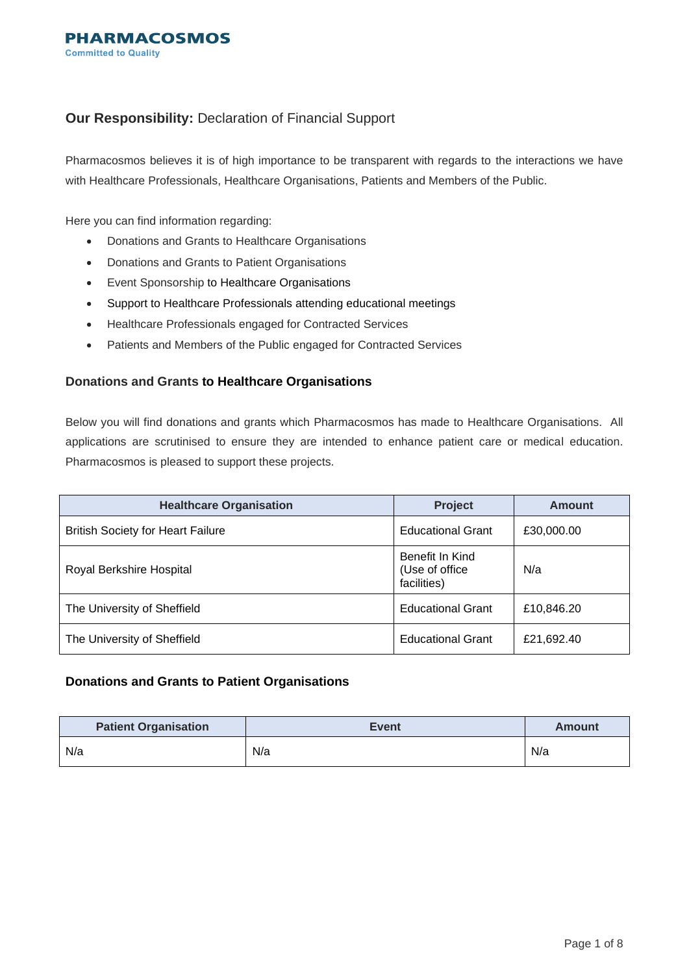# **Our Responsibility:** Declaration of Financial Support

Pharmacosmos believes it is of high importance to be transparent with regards to the interactions we have with Healthcare Professionals, Healthcare Organisations, Patients and Members of the Public.

Here you can find information regarding:

- Donations and Grants to Healthcare Organisations
- Donations and Grants to Patient Organisations
- Event Sponsorship to Healthcare Organisations
- Support to Healthcare Professionals attending educational meetings
- Healthcare Professionals engaged for Contracted Services
- Patients and Members of the Public engaged for Contracted Services

## **Donations and Grants to Healthcare Organisations**

Below you will find donations and grants which Pharmacosmos has made to Healthcare Organisations. All applications are scrutinised to ensure they are intended to enhance patient care or medical education. Pharmacosmos is pleased to support these projects.

| <b>Healthcare Organisation</b>           | Project                                           | Amount     |
|------------------------------------------|---------------------------------------------------|------------|
| <b>British Society for Heart Failure</b> | <b>Educational Grant</b>                          | £30,000.00 |
| Royal Berkshire Hospital                 | Benefit In Kind<br>(Use of office)<br>facilities) | N/a        |
| The University of Sheffield              | <b>Educational Grant</b>                          | £10,846.20 |
| The University of Sheffield              | <b>Educational Grant</b>                          | £21,692.40 |

## **Donations and Grants to Patient Organisations**

| <b>Patient Organisation</b> | <b>Event</b> | <b>Amount</b> |
|-----------------------------|--------------|---------------|
| N/a                         | N/a          | N/a           |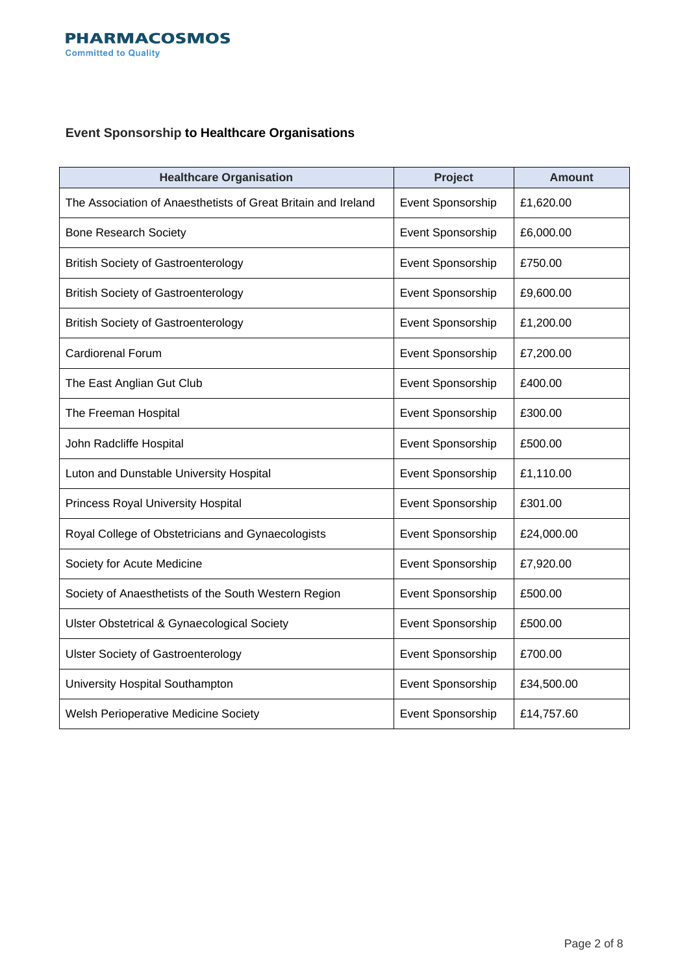# **Event Sponsorship to Healthcare Organisations**

| <b>Healthcare Organisation</b>                                | Project           | <b>Amount</b> |
|---------------------------------------------------------------|-------------------|---------------|
| The Association of Anaesthetists of Great Britain and Ireland | Event Sponsorship | £1,620.00     |
| <b>Bone Research Society</b>                                  | Event Sponsorship | £6,000.00     |
| <b>British Society of Gastroenterology</b>                    | Event Sponsorship | £750.00       |
| <b>British Society of Gastroenterology</b>                    | Event Sponsorship | £9,600.00     |
| <b>British Society of Gastroenterology</b>                    | Event Sponsorship | £1,200.00     |
| <b>Cardiorenal Forum</b>                                      | Event Sponsorship | £7,200.00     |
| The East Anglian Gut Club                                     | Event Sponsorship | £400.00       |
| The Freeman Hospital                                          | Event Sponsorship | £300.00       |
| John Radcliffe Hospital                                       | Event Sponsorship | £500.00       |
| Luton and Dunstable University Hospital                       | Event Sponsorship | £1,110.00     |
| <b>Princess Royal University Hospital</b>                     | Event Sponsorship | £301.00       |
| Royal College of Obstetricians and Gynaecologists             | Event Sponsorship | £24,000.00    |
| Society for Acute Medicine                                    | Event Sponsorship | £7,920.00     |
| Society of Anaesthetists of the South Western Region          | Event Sponsorship | £500.00       |
| <b>Ulster Obstetrical &amp; Gynaecological Society</b>        | Event Sponsorship | £500.00       |
| <b>Ulster Society of Gastroenterology</b>                     | Event Sponsorship | £700.00       |
| University Hospital Southampton                               | Event Sponsorship | £34,500.00    |
| <b>Welsh Perioperative Medicine Society</b>                   | Event Sponsorship | £14,757.60    |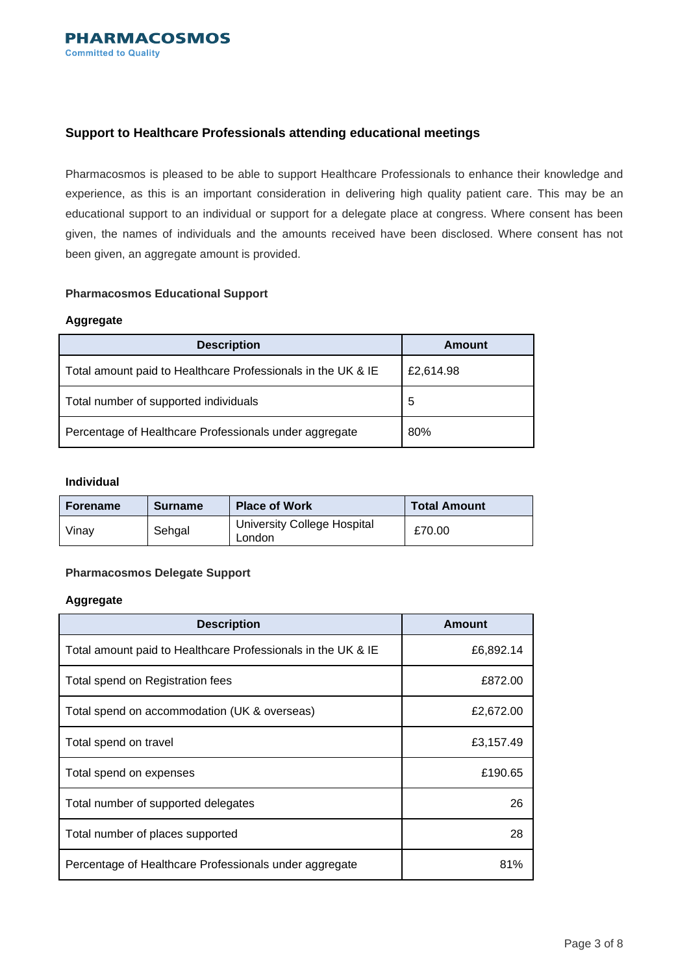## **Support to Healthcare Professionals attending educational meetings**

Pharmacosmos is pleased to be able to support Healthcare Professionals to enhance their knowledge and experience, as this is an important consideration in delivering high quality patient care. This may be an educational support to an individual or support for a delegate place at congress. Where consent has been given, the names of individuals and the amounts received have been disclosed. Where consent has not been given, an aggregate amount is provided.

## **Pharmacosmos Educational Support**

### **Aggregate**

| <b>Description</b>                                           | Amount    |
|--------------------------------------------------------------|-----------|
| Total amount paid to Healthcare Professionals in the UK & IE | £2,614.98 |
| Total number of supported individuals                        | 5         |
| Percentage of Healthcare Professionals under aggregate       | 80%       |

### **Individual**

| <b>Forename</b> | <b>Surname</b> | <b>Place of Work</b>                         | <b>Total Amount</b> |
|-----------------|----------------|----------------------------------------------|---------------------|
| Vinav           | Sehgal         | <b>University College Hospital</b><br>London | £70.00              |

## **Pharmacosmos Delegate Support**

#### **Aggregate**

| <b>Description</b>                                           | Amount    |
|--------------------------------------------------------------|-----------|
| Total amount paid to Healthcare Professionals in the UK & IE | £6,892.14 |
| Total spend on Registration fees                             | £872.00   |
| Total spend on accommodation (UK & overseas)                 | £2,672.00 |
| Total spend on travel                                        | £3,157.49 |
| Total spend on expenses                                      | £190.65   |
| Total number of supported delegates                          | 26        |
| Total number of places supported                             | 28        |
| Percentage of Healthcare Professionals under aggregate       | 81%       |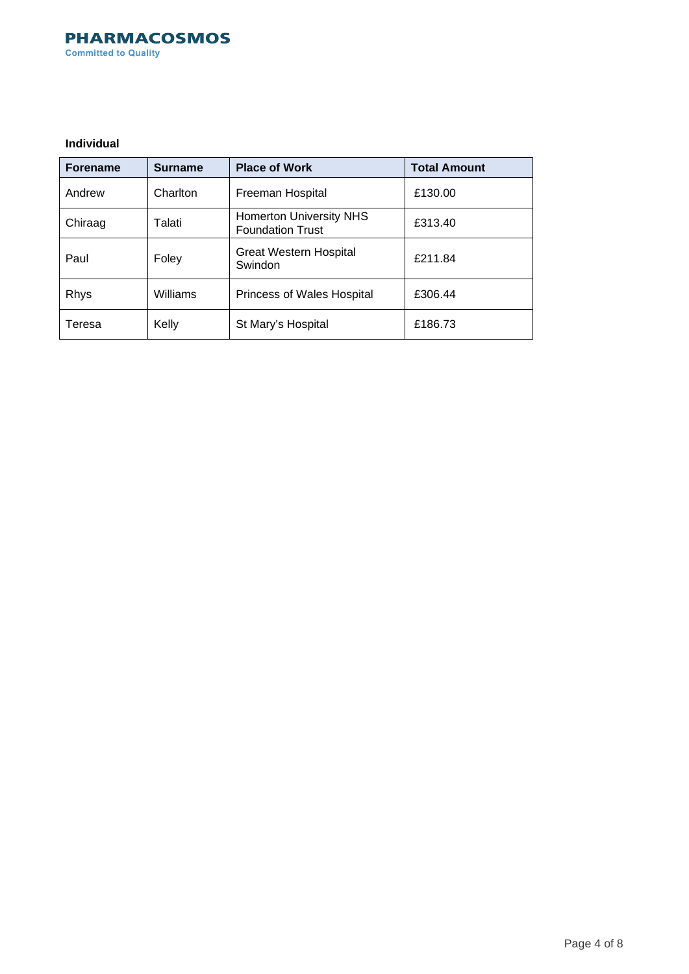## **PHARMACOSMOS Committed to Quality**

### **Individual**

| <b>Forename</b> | <b>Surname</b> | <b>Place of Work</b>                                      | <b>Total Amount</b> |
|-----------------|----------------|-----------------------------------------------------------|---------------------|
| Andrew          | Charlton       | Freeman Hospital                                          | £130.00             |
| Chiraag         | Talati         | <b>Homerton University NHS</b><br><b>Foundation Trust</b> | £313.40             |
| Paul            | Foley          | <b>Great Western Hospital</b><br>Swindon                  | £211.84             |
| <b>Rhys</b>     | Williams       | Princess of Wales Hospital                                | £306.44             |
| Teresa          | Kelly          | St Mary's Hospital                                        | £186.73             |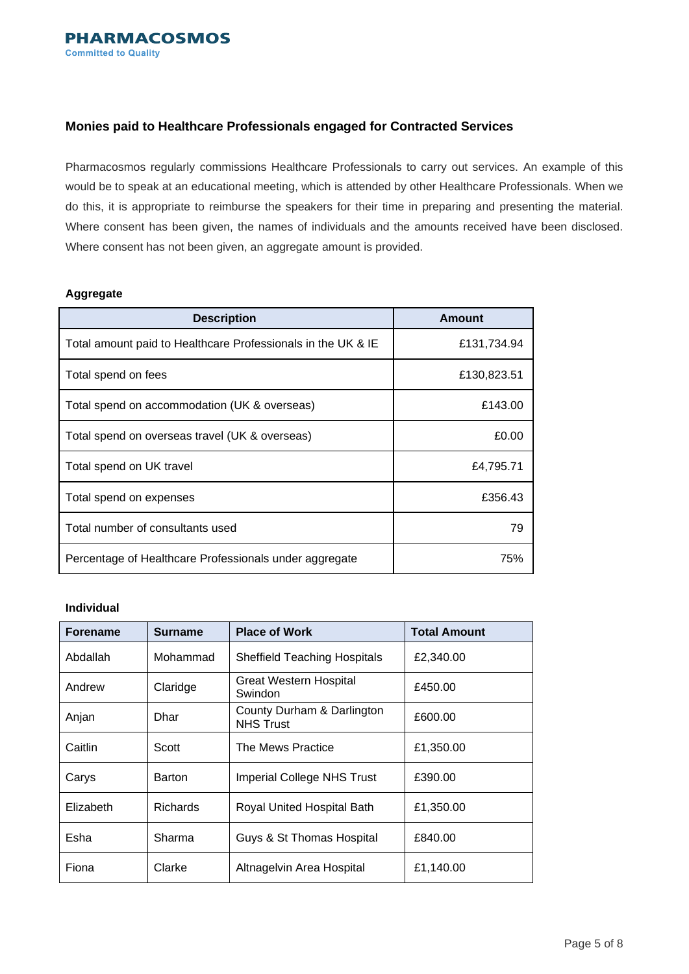## **Monies paid to Healthcare Professionals engaged for Contracted Services**

Pharmacosmos regularly commissions Healthcare Professionals to carry out services. An example of this would be to speak at an educational meeting, which is attended by other Healthcare Professionals. When we do this, it is appropriate to reimburse the speakers for their time in preparing and presenting the material. Where consent has been given, the names of individuals and the amounts received have been disclosed. Where consent has not been given, an aggregate amount is provided.

## **Aggregate**

| <b>Description</b>                                           | <b>Amount</b> |
|--------------------------------------------------------------|---------------|
| Total amount paid to Healthcare Professionals in the UK & IE | £131,734.94   |
| Total spend on fees                                          | £130,823.51   |
| Total spend on accommodation (UK & overseas)                 | £143.00       |
| Total spend on overseas travel (UK & overseas)               | £0.00         |
| Total spend on UK travel                                     | £4,795.71     |
| Total spend on expenses                                      | £356.43       |
| Total number of consultants used                             | 79            |
| Percentage of Healthcare Professionals under aggregate       | 75%           |

#### **Individual**

| <b>Forename</b> | Surname         | <b>Place of Work</b>                           | <b>Total Amount</b> |
|-----------------|-----------------|------------------------------------------------|---------------------|
| Abdallah        | Mohammad        | <b>Sheffield Teaching Hospitals</b>            | £2,340.00           |
| Andrew          | Claridge        | Great Western Hospital<br>Swindon              | £450.00             |
| Anjan           | Dhar            | County Durham & Darlington<br><b>NHS Trust</b> | £600.00             |
| Caitlin         | Scott           | The Mews Practice                              | £1,350.00           |
| Carys           | Barton          | <b>Imperial College NHS Trust</b>              | £390.00             |
| Elizabeth       | <b>Richards</b> | Royal United Hospital Bath                     | £1,350.00           |
| Esha            | Sharma          | Guys & St Thomas Hospital                      | £840.00             |
| Fiona           | Clarke          | Altnagelvin Area Hospital                      | £1,140.00           |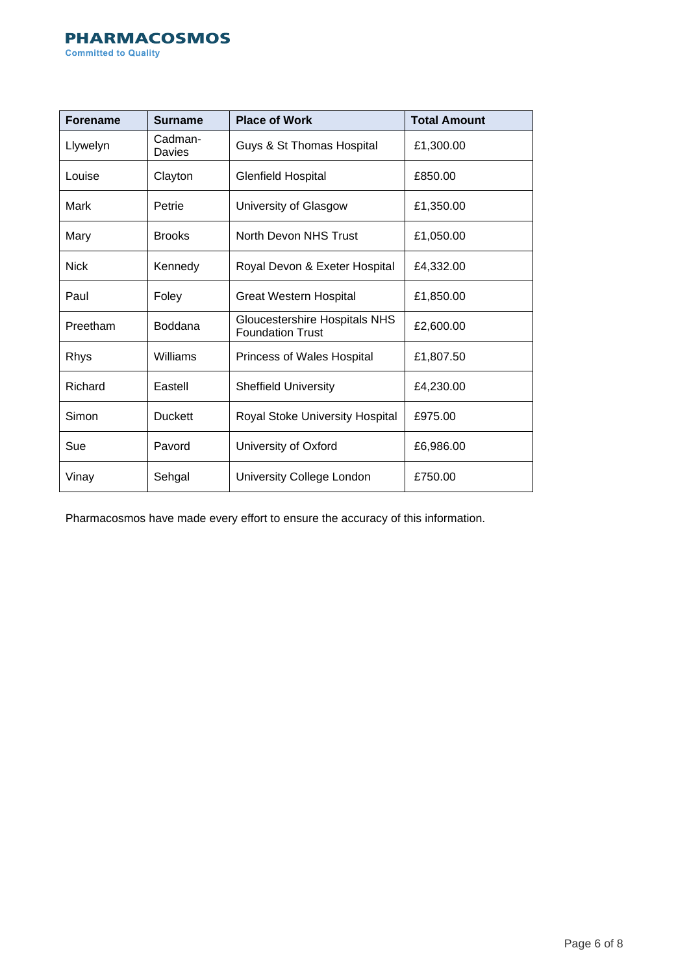# **PHARMACOSMOS**

**Committed to Quality** 

| <b>Forename</b> | <b>Surname</b>    | <b>Place of Work</b>                                     | <b>Total Amount</b> |
|-----------------|-------------------|----------------------------------------------------------|---------------------|
| Llywelyn        | Cadman-<br>Davies | Guys & St Thomas Hospital                                | £1,300.00           |
| Louise          | Clayton           | <b>Glenfield Hospital</b>                                | £850.00             |
| Mark            | Petrie            | University of Glasgow                                    | £1,350.00           |
| Mary            | <b>Brooks</b>     | North Devon NHS Trust                                    | £1,050.00           |
| <b>Nick</b>     | Kennedy           | Royal Devon & Exeter Hospital                            | £4,332.00           |
| Paul            | Foley             | <b>Great Western Hospital</b>                            | £1,850.00           |
| Preetham        | <b>Boddana</b>    | Gloucestershire Hospitals NHS<br><b>Foundation Trust</b> | £2,600.00           |
| Rhys            | Williams          | Princess of Wales Hospital                               | £1,807.50           |
| Richard         | Eastell           | <b>Sheffield University</b>                              | £4,230.00           |
| Simon           | <b>Duckett</b>    | Royal Stoke University Hospital                          | £975.00             |
| Sue             | Pavord            | University of Oxford                                     | £6,986.00           |
| Vinay           | Sehgal            | University College London                                | £750.00             |

Pharmacosmos have made every effort to ensure the accuracy of this information.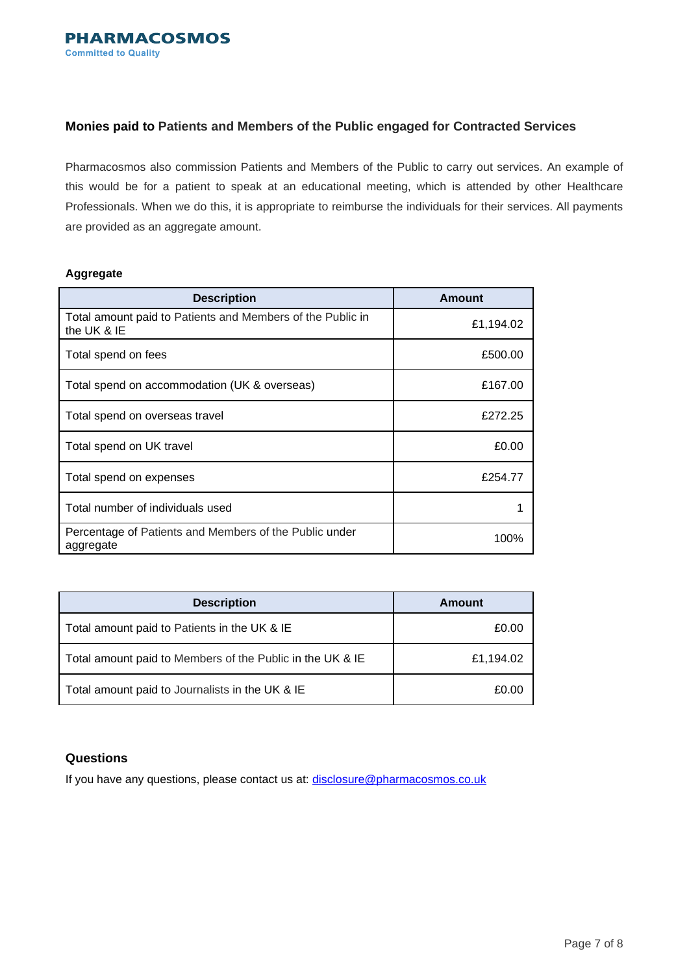## **Monies paid to Patients and Members of the Public engaged for Contracted Services**

Pharmacosmos also commission Patients and Members of the Public to carry out services. An example of this would be for a patient to speak at an educational meeting, which is attended by other Healthcare Professionals. When we do this, it is appropriate to reimburse the individuals for their services. All payments are provided as an aggregate amount.

#### **Aggregate**

| <b>Description</b>                                                        | <b>Amount</b> |
|---------------------------------------------------------------------------|---------------|
| Total amount paid to Patients and Members of the Public in<br>the UK & IE | £1,194.02     |
| Total spend on fees                                                       | £500.00       |
| Total spend on accommodation (UK & overseas)                              | £167.00       |
| Total spend on overseas travel                                            | £272.25       |
| Total spend on UK travel                                                  | £0.00         |
| Total spend on expenses                                                   | £254.77       |
| Total number of individuals used                                          |               |
| Percentage of Patients and Members of the Public under<br>aggregate       | 100%          |

| <b>Description</b>                                        | Amount    |
|-----------------------------------------------------------|-----------|
| Total amount paid to Patients in the UK & IE              | £0.00     |
| Total amount paid to Members of the Public in the UK & IE | £1,194.02 |
| Total amount paid to Journalists in the UK & IE           | £0.00     |

# **Questions**

If you have any questions, please contact us at: [disclosure@pharmacosmos.co.uk](mailto:disclosure@pharmacosmos.co.uk)